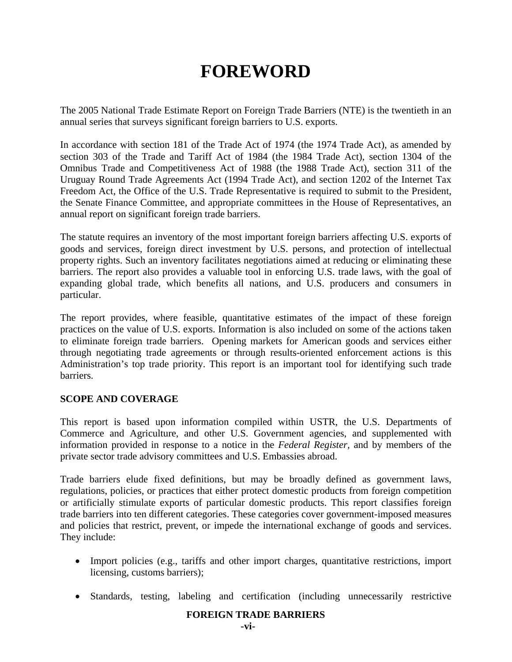# **FOREWORD**

The 2005 National Trade Estimate Report on Foreign Trade Barriers (NTE) is the twentieth in an annual series that surveys significant foreign barriers to U.S. exports.

In accordance with section 181 of the Trade Act of 1974 (the 1974 Trade Act), as amended by section 303 of the Trade and Tariff Act of 1984 (the 1984 Trade Act), section 1304 of the Omnibus Trade and Competitiveness Act of 1988 (the 1988 Trade Act), section 311 of the Uruguay Round Trade Agreements Act (1994 Trade Act), and section 1202 of the Internet Tax Freedom Act, the Office of the U.S. Trade Representative is required to submit to the President, the Senate Finance Committee, and appropriate committees in the House of Representatives, an annual report on significant foreign trade barriers.

The statute requires an inventory of the most important foreign barriers affecting U.S. exports of goods and services, foreign direct investment by U.S. persons, and protection of intellectual property rights. Such an inventory facilitates negotiations aimed at reducing or eliminating these barriers. The report also provides a valuable tool in enforcing U.S. trade laws, with the goal of expanding global trade, which benefits all nations, and U.S. producers and consumers in particular.

The report provides, where feasible, quantitative estimates of the impact of these foreign practices on the value of U.S. exports. Information is also included on some of the actions taken to eliminate foreign trade barriers. Opening markets for American goods and services either through negotiating trade agreements or through results-oriented enforcement actions is this Administration's top trade priority. This report is an important tool for identifying such trade barriers.

## **SCOPE AND COVERAGE**

This report is based upon information compiled within USTR, the U.S. Departments of Commerce and Agriculture, and other U.S. Government agencies, and supplemented with information provided in response to a notice in the *Federal Register,* and by members of the private sector trade advisory committees and U.S. Embassies abroad.

Trade barriers elude fixed definitions, but may be broadly defined as government laws, regulations, policies, or practices that either protect domestic products from foreign competition or artificially stimulate exports of particular domestic products. This report classifies foreign trade barriers into ten different categories. These categories cover government-imposed measures and policies that restrict, prevent, or impede the international exchange of goods and services. They include:

- Import policies (e.g., tariffs and other import charges, quantitative restrictions, import licensing, customs barriers);
- Standards, testing, labeling and certification (including unnecessarily restrictive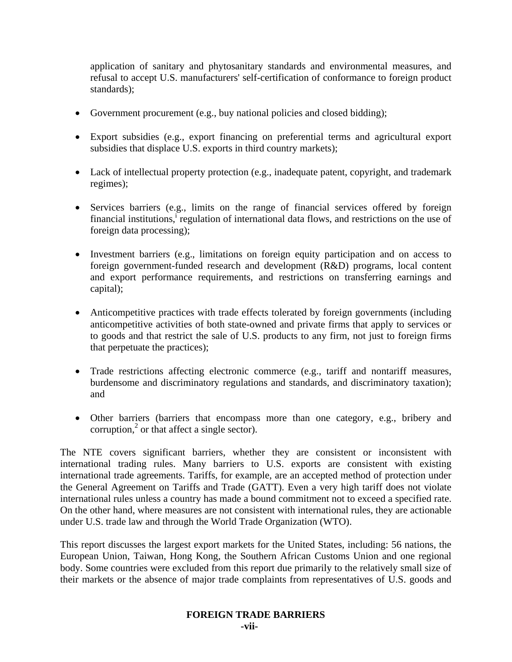application of sanitary and phytosanitary standards and environmental measures, and refusal to accept U.S. manufacturers' self-certification of conformance to foreign product standards);

- Government procurement (e.g., buy national policies and closed bidding);
- Export subsidies (e.g., export financing on preferential terms and agricultural export subsidies that displace U.S. exports in third country markets);
- Lack of intellectual property protection (e.g., inadequate patent, copyright, and trademark regimes);
- Services barriers (e.g., limits on the range of financial services offered by foreign financial institutions,<sup>i</sup> regulation of international data flows, and restrictions on the use of foreign data processing);
- Investment barriers (e.g., limitations on foreign equity participation and on access to foreign government-funded research and development (R&D) programs, local content and export performance requirements, and restrictions on transferring earnings and capital);
- Anticompetitive practices with trade effects tolerated by foreign governments (including anticompetitive activities of both state-owned and private firms that apply to services or to goods and that restrict the sale of U.S. products to any firm, not just to foreign firms that perpetuate the practices);
- Trade restrictions affecting electronic commerce (e.g., tariff and nontariff measures, burdensome and discriminatory regulations and standards, and discriminatory taxation); and
- Other barriers (barriers that encompass more than one category, e.g., bribery and corruption, $<sup>2</sup>$  or that affect a single sector).</sup>

The NTE covers significant barriers, whether they are consistent or inconsistent with international trading rules. Many barriers to U.S. exports are consistent with existing international trade agreements. Tariffs, for example, are an accepted method of protection under the General Agreement on Tariffs and Trade (GATT). Even a very high tariff does not violate international rules unless a country has made a bound commitment not to exceed a specified rate. On the other hand, where measures are not consistent with international rules, they are actionable under U.S. trade law and through the World Trade Organization (WTO).

This report discusses the largest export markets for the United States, including: 56 nations, the European Union, Taiwan, Hong Kong, the Southern African Customs Union and one regional body. Some countries were excluded from this report due primarily to the relatively small size of their markets or the absence of major trade complaints from representatives of U.S. goods and

## **FOREIGN TRADE BARRIERS**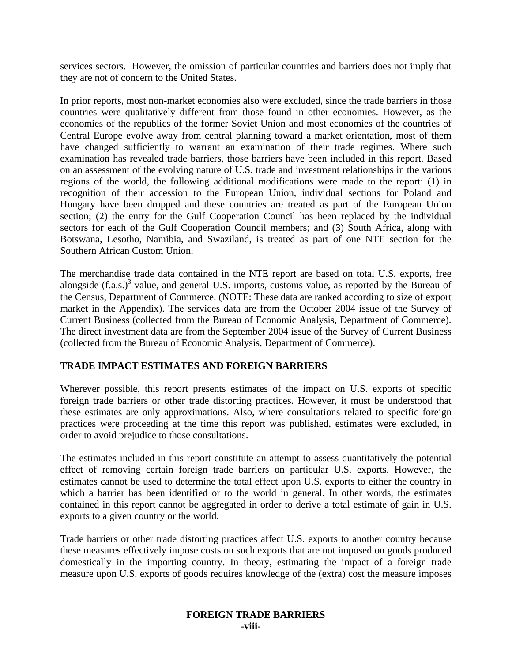services sectors. However, the omission of particular countries and barriers does not imply that they are not of concern to the United States.

In prior reports, most non-market economies also were excluded, since the trade barriers in those countries were qualitatively different from those found in other economies. However, as the economies of the republics of the former Soviet Union and most economies of the countries of Central Europe evolve away from central planning toward a market orientation, most of them have changed sufficiently to warrant an examination of their trade regimes. Where such examination has revealed trade barriers, those barriers have been included in this report. Based on an assessment of the evolving nature of U.S. trade and investment relationships in the various regions of the world, the following additional modifications were made to the report: (1) in recognition of their accession to the European Union, individual sections for Poland and Hungary have been dropped and these countries are treated as part of the European Union section; (2) the entry for the Gulf Cooperation Council has been replaced by the individual sectors for each of the Gulf Cooperation Council members; and (3) South Africa, along with Botswana, Lesotho, Namibia, and Swaziland, is treated as part of one NTE section for the Southern African Custom Union.

The merchandise trade data contained in the NTE report are based on total U.S. exports, free alongside  $(f.a.s.)^3$  value, and general U.S. imports, customs value, as reported by the Bureau of the Census, Department of Commerce. (NOTE: These data are ranked according to size of export market in the Appendix). The services data are from the October 2004 issue of the Survey of Current Business (collected from the Bureau of Economic Analysis, Department of Commerce). The direct investment data are from the September 2004 issue of the Survey of Current Business (collected from the Bureau of Economic Analysis, Department of Commerce).

## **TRADE IMPACT ESTIMATES AND FOREIGN BARRIERS**

Wherever possible, this report presents estimates of the impact on U.S. exports of specific foreign trade barriers or other trade distorting practices. However, it must be understood that these estimates are only approximations. Also, where consultations related to specific foreign practices were proceeding at the time this report was published, estimates were excluded, in order to avoid prejudice to those consultations.

The estimates included in this report constitute an attempt to assess quantitatively the potential effect of removing certain foreign trade barriers on particular U.S. exports. However, the estimates cannot be used to determine the total effect upon U.S. exports to either the country in which a barrier has been identified or to the world in general. In other words, the estimates contained in this report cannot be aggregated in order to derive a total estimate of gain in U.S. exports to a given country or the world.

Trade barriers or other trade distorting practices affect U.S. exports to another country because these measures effectively impose costs on such exports that are not imposed on goods produced domestically in the importing country. In theory, estimating the impact of a foreign trade measure upon U.S. exports of goods requires knowledge of the (extra) cost the measure imposes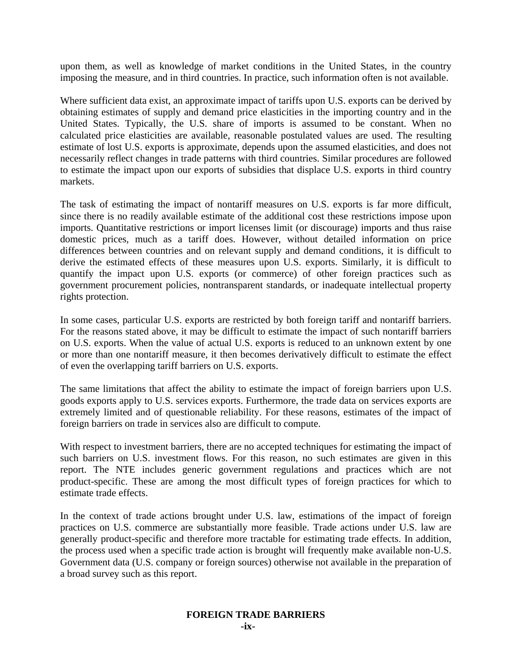upon them, as well as knowledge of market conditions in the United States, in the country imposing the measure, and in third countries. In practice, such information often is not available.

Where sufficient data exist, an approximate impact of tariffs upon U.S. exports can be derived by obtaining estimates of supply and demand price elasticities in the importing country and in the United States. Typically, the U.S. share of imports is assumed to be constant. When no calculated price elasticities are available, reasonable postulated values are used. The resulting estimate of lost U.S. exports is approximate, depends upon the assumed elasticities, and does not necessarily reflect changes in trade patterns with third countries. Similar procedures are followed to estimate the impact upon our exports of subsidies that displace U.S. exports in third country markets.

The task of estimating the impact of nontariff measures on U.S. exports is far more difficult, since there is no readily available estimate of the additional cost these restrictions impose upon imports. Quantitative restrictions or import licenses limit (or discourage) imports and thus raise domestic prices, much as a tariff does. However, without detailed information on price differences between countries and on relevant supply and demand conditions, it is difficult to derive the estimated effects of these measures upon U.S. exports. Similarly, it is difficult to quantify the impact upon U.S. exports (or commerce) of other foreign practices such as government procurement policies, nontransparent standards, or inadequate intellectual property rights protection.

In some cases, particular U.S. exports are restricted by both foreign tariff and nontariff barriers. For the reasons stated above, it may be difficult to estimate the impact of such nontariff barriers on U.S. exports. When the value of actual U.S. exports is reduced to an unknown extent by one or more than one nontariff measure, it then becomes derivatively difficult to estimate the effect of even the overlapping tariff barriers on U.S. exports.

The same limitations that affect the ability to estimate the impact of foreign barriers upon U.S. goods exports apply to U.S. services exports. Furthermore, the trade data on services exports are extremely limited and of questionable reliability. For these reasons, estimates of the impact of foreign barriers on trade in services also are difficult to compute.

With respect to investment barriers, there are no accepted techniques for estimating the impact of such barriers on U.S. investment flows. For this reason, no such estimates are given in this report. The NTE includes generic government regulations and practices which are not product-specific. These are among the most difficult types of foreign practices for which to estimate trade effects.

In the context of trade actions brought under U.S. law, estimations of the impact of foreign practices on U.S. commerce are substantially more feasible. Trade actions under U.S. law are generally product-specific and therefore more tractable for estimating trade effects. In addition, the process used when a specific trade action is brought will frequently make available non-U.S. Government data (U.S. company or foreign sources) otherwise not available in the preparation of a broad survey such as this report.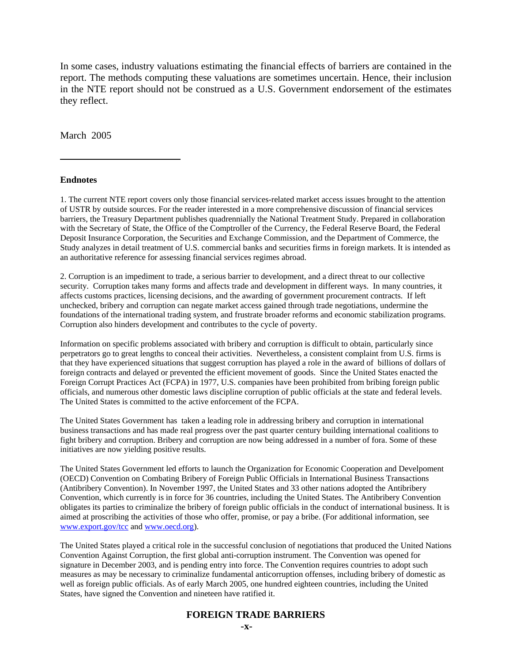In some cases, industry valuations estimating the financial effects of barriers are contained in the report. The methods computing these valuations are sometimes uncertain. Hence, their inclusion in the NTE report should not be construed as a U.S. Government endorsement of the estimates they reflect.

March 2005

#### **Endnotes**

 $\overline{a}$ 

1. The current NTE report covers only those financial services-related market access issues brought to the attention of USTR by outside sources. For the reader interested in a more comprehensive discussion of financial services barriers, the Treasury Department publishes quadrennially the National Treatment Study. Prepared in collaboration with the Secretary of State, the Office of the Comptroller of the Currency, the Federal Reserve Board, the Federal Deposit Insurance Corporation, the Securities and Exchange Commission, and the Department of Commerce, the Study analyzes in detail treatment of U.S. commercial banks and securities firms in foreign markets. It is intended as an authoritative reference for assessing financial services regimes abroad.

2. Corruption is an impediment to trade, a serious barrier to development, and a direct threat to our collective security. Corruption takes many forms and affects trade and development in different ways. In many countries, it affects customs practices, licensing decisions, and the awarding of government procurement contracts. If left unchecked, bribery and corruption can negate market access gained through trade negotiations, undermine the foundations of the international trading system, and frustrate broader reforms and economic stabilization programs. Corruption also hinders development and contributes to the cycle of poverty.

Information on specific problems associated with bribery and corruption is difficult to obtain, particularly since perpetrators go to great lengths to conceal their activities. Nevertheless, a consistent complaint from U.S. firms is that they have experienced situations that suggest corruption has played a role in the award of billions of dollars of foreign contracts and delayed or prevented the efficient movement of goods. Since the United States enacted the Foreign Corrupt Practices Act (FCPA) in 1977, U.S. companies have been prohibited from bribing foreign public officials, and numerous other domestic laws discipline corruption of public officials at the state and federal levels. The United States is committed to the active enforcement of the FCPA.

The United States Government has taken a leading role in addressing bribery and corruption in international business transactions and has made real progress over the past quarter century building international coalitions to fight bribery and corruption. Bribery and corruption are now being addressed in a number of fora. Some of these initiatives are now yielding positive results.

The United States Government led efforts to launch the Organization for Economic Cooperation and Develpoment (OECD) Convention on Combating Bribery of Foreign Public Officials in International Business Transactions (Antibribery Convention). In November 1997, the United States and 33 other nations adopted the Antibribery Convention, which currently is in force for 36 countries, including the United States. The Antibribery Convention obligates its parties to criminalize the bribery of foreign public officials in the conduct of international business. It is aimed at proscribing the activities of those who offer, promise, or pay a bribe. (For additional information, see www.export.gov/tcc and www.oecd.org).

The United States played a critical role in the successful conclusion of negotiations that produced the United Nations Convention Against Corruption, the first global anti-corruption instrument. The Convention was opened for signature in December 2003, and is pending entry into force. The Convention requires countries to adopt such measures as may be necessary to criminalize fundamental anticorruption offenses, including bribery of domestic as well as foreign public officials. As of early March 2005, one hundred eighteen countries, including the United States, have signed the Convention and nineteen have ratified it.

#### **FOREIGN TRADE BARRIERS**